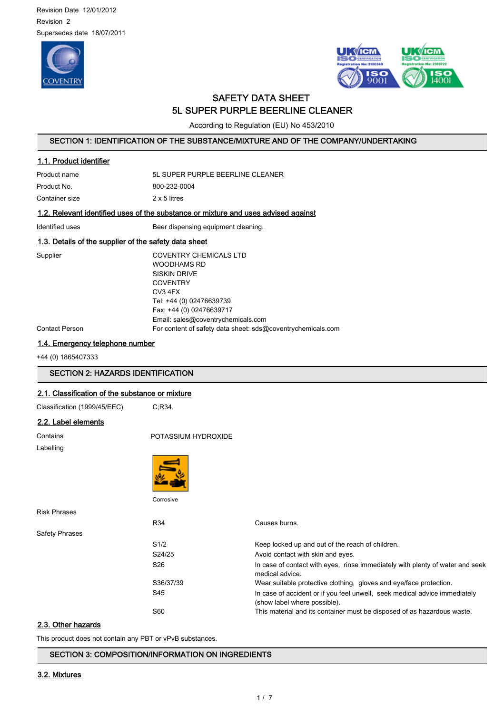Revision Date 12/01/2012 Revision 2 Supersedes date 18/07/2011





# SAFETY DATA SHEET 5L SUPER PURPLE BEERLINE CLEANER

According to Regulation (EU) No 453/2010

## SECTION 1: IDENTIFICATION OF THE SUBSTANCE/MIXTURE AND OF THE COMPANY/UNDERTAKING

| 1.1. Product identifier |                                 |
|-------------------------|---------------------------------|
| Product name            | 5 SUPER PURPLE BEERLINE CLEANER |
| Product No.             | 800-232-0004                    |
| Container size          | 2 x 5 litres                    |

### 1.2. Relevant identified uses of the substance or mixture and uses advised against

Identified uses **Beer dispensing equipment cleaning**.

### 1.3. Details of the supplier of the safety data sheet

Supplier COVENTRY CHEMICALS LTD WOODHAMS RD SISKIN DRIVE **COVENTRY** CV3 4FX Tel: +44 (0) 02476639739 Fax: +44 (0) 02476639717 Email: sales@coventrychemicals.com Contact Person For content of safety data sheet: sds@coventrychemicals.com

# 1.4. Emergency telephone number

+44 (0) 1865407333

### SECTION 2: HAZARDS IDENTIFICATION

### 2.1. Classification of the substance or mixture

| Classification (1999/45/EEC) |
|------------------------------|
|                              |

 $C:R34$ .

### 2.2. Label elements

| Contains       | POTASSIUM HYDROXIDE |                                                                                                            |
|----------------|---------------------|------------------------------------------------------------------------------------------------------------|
| Labelling      |                     |                                                                                                            |
|                |                     |                                                                                                            |
|                | Corrosive           |                                                                                                            |
| Risk Phrases   |                     |                                                                                                            |
|                | R34                 | Causes burns.                                                                                              |
| Safety Phrases |                     |                                                                                                            |
|                | S1/2                | Keep locked up and out of the reach of children.                                                           |
|                | S24/25              | Avoid contact with skin and eyes.                                                                          |
|                | S <sub>26</sub>     | In case of contact with eyes, rinse immediately with plenty of water and seek<br>medical advice.           |
|                | S36/37/39           | Wear suitable protective clothing, gloves and eye/face protection.                                         |
|                | S45                 | In case of accident or if you feel unwell, seek medical advice immediately<br>(show label where possible). |

#### 2.3. Other hazards

This product does not contain any PBT or vPvB substances.

SECTION 3: COMPOSITION/INFORMATION ON INGREDIENTS

#### 3.2. Mixtures

S60 This material and its container must be disposed of as hazardous waste.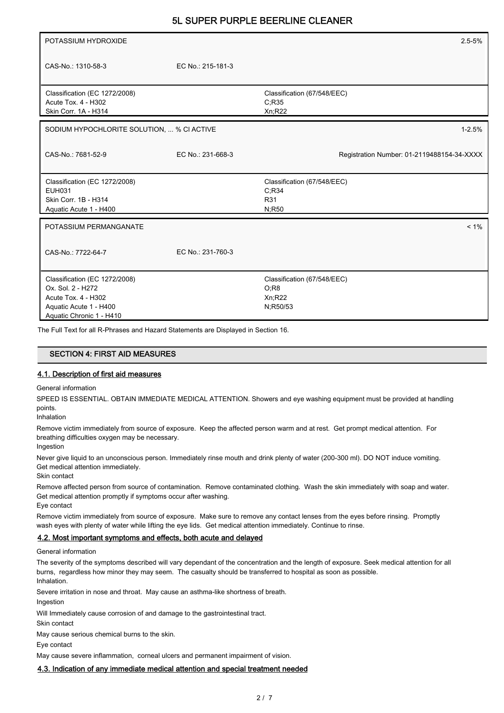| POTASSIUM HYDROXIDE                        |                   | $2.5 - 5%$                                 |
|--------------------------------------------|-------------------|--------------------------------------------|
|                                            |                   |                                            |
| CAS-No.: 1310-58-3                         | EC No.: 215-181-3 |                                            |
|                                            |                   |                                            |
| Classification (EC 1272/2008)              |                   | Classification (67/548/EEC)                |
| Acute Tox. 4 - H302                        |                   | C:R35                                      |
| Skin Corr. 1A - H314                       |                   | Xn;R22                                     |
| SODIUM HYPOCHLORITE SOLUTION,  % CI ACTIVE |                   | $1 - 2.5%$                                 |
|                                            |                   |                                            |
| CAS-No.: 7681-52-9                         | EC No.: 231-668-3 | Registration Number: 01-2119488154-34-XXXX |
|                                            |                   |                                            |
| Classification (EC 1272/2008)              |                   | Classification (67/548/EEC)                |
| <b>EUH031</b>                              |                   | C;R34                                      |
| Skin Corr. 1B - H314                       |                   | R31                                        |
| Aquatic Acute 1 - H400                     |                   | N;R50                                      |
|                                            |                   |                                            |
| POTASSIUM PERMANGANATE                     |                   | $< 1\%$                                    |
|                                            |                   |                                            |
| CAS-No.: 7722-64-7                         | EC No.: 231-760-3 |                                            |
|                                            |                   |                                            |
| Classification (EC 1272/2008)              |                   | Classification (67/548/EEC)                |
| Ox. Sol. 2 - H272                          |                   | O;R8                                       |
| Acute Tox. 4 - H302                        |                   | Xn;R22                                     |
| Aquatic Acute 1 - H400                     |                   | N;R50/53                                   |
| Aquatic Chronic 1 - H410                   |                   |                                            |

The Full Text for all R-Phrases and Hazard Statements are Displayed in Section 16.

# SECTION 4: FIRST AID MEASURES

#### 4.1. Description of first aid measures

General information

SPEED IS ESSENTIAL. OBTAIN IMMEDIATE MEDICAL ATTENTION. Showers and eye washing equipment must be provided at handling points.

Inhalation

Remove victim immediately from source of exposure. Keep the affected person warm and at rest. Get prompt medical attention. For breathing difficulties oxygen may be necessary.

Ingestion

Never give liquid to an unconscious person. Immediately rinse mouth and drink plenty of water (200-300 ml). DO NOT induce vomiting. Get medical attention immediately.

Skin contact

Remove affected person from source of contamination. Remove contaminated clothing. Wash the skin immediately with soap and water. Get medical attention promptly if symptoms occur after washing. Eye contact

Remove victim immediately from source of exposure. Make sure to remove any contact lenses from the eyes before rinsing. Promptly wash eyes with plenty of water while lifting the eye lids. Get medical attention immediately. Continue to rinse.

#### 4.2. Most important symptoms and effects, both acute and delayed

General information

The severity of the symptoms described will vary dependant of the concentration and the length of exposure. Seek medical attention for all burns, regardless how minor they may seem. The casualty should be transferred to hospital as soon as possible. Inhalation.

Severe irritation in nose and throat. May cause an asthma-like shortness of breath.

Ingestion

Will Immediately cause corrosion of and damage to the gastrointestinal tract.

Skin contact May cause serious chemical burns to the skin.

Eye contact

May cause severe inflammation, corneal ulcers and permanent impairment of vision.

#### 4.3. Indication of any immediate medical attention and special treatment needed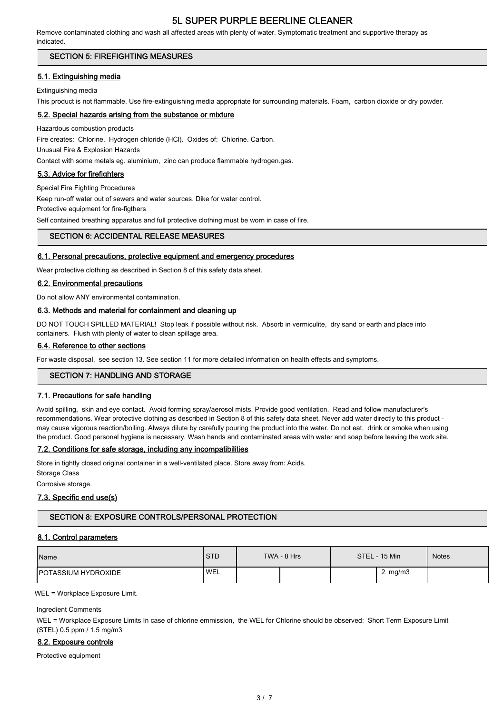Remove contaminated clothing and wash all affected areas with plenty of water. Symptomatic treatment and supportive therapy as indicated.

### SECTION 5: FIREFIGHTING MEASURES

### 5.1. Extinguishing media

Extinguishing media

This product is not flammable. Use fire-extinguishing media appropriate for surrounding materials. Foam, carbon dioxide or dry powder.

### 5.2. Special hazards arising from the substance or mixture

Hazardous combustion products

Fire creates: Chlorine. Hydrogen chloride (HCl). Oxides of: Chlorine. Carbon.

Unusual Fire & Explosion Hazards

Contact with some metals eg. aluminium, zinc can produce flammable hydrogen.gas.

### 5.3. Advice for firefighters

Special Fire Fighting Procedures

Keep run-off water out of sewers and water sources. Dike for water control.

Protective equipment for fire-figthers

Self contained breathing apparatus and full protective clothing must be worn in case of fire.

### SECTION 6: ACCIDENTAL RELEASE MEASURES

#### 6.1. Personal precautions, protective equipment and emergency procedures

Wear protective clothing as described in Section 8 of this safety data sheet.

#### 6.2. Environmental precautions

Do not allow ANY environmental contamination.

#### 6.3. Methods and material for containment and cleaning up

DO NOT TOUCH SPILLED MATERIAL! Stop leak if possible without risk. Absorb in vermiculite, dry sand or earth and place into containers. Flush with plenty of water to clean spillage area.

#### 6.4. Reference to other sections

For waste disposal, see section 13. See section 11 for more detailed information on health effects and symptoms.

### SECTION 7: HANDLING AND STORAGE

#### 7.1. Precautions for safe handling

Avoid spilling, skin and eye contact. Avoid forming spray/aerosol mists. Provide good ventilation. Read and follow manufacturer's recommendations. Wear protective clothing as described in Section 8 of this safety data sheet. Never add water directly to this product may cause vigorous reaction/boiling. Always dilute by carefully pouring the product into the water. Do not eat, drink or smoke when using the product. Good personal hygiene is necessary. Wash hands and contaminated areas with water and soap before leaving the work site.

#### 7.2. Conditions for safe storage, including any incompatibilities

Store in tightly closed original container in a well-ventilated place. Store away from: Acids.

Storage Class

Corrosive storage.

### 7.3. Specific end use(s)

### SECTION 8: EXPOSURE CONTROLS/PERSONAL PROTECTION

#### 8.1. Control parameters

| Name                        | <b>STD</b> | TWA - 8 Hrs | STEL - 15 Min | <b>Notes</b> |
|-----------------------------|------------|-------------|---------------|--------------|
| <b>IPOTASSIUM HYDROXIDE</b> | <b>WEL</b> |             | 2 $mg/m3$     |              |

WEL = Workplace Exposure Limit.

Ingredient Comments

WEL = Workplace Exposure Limits In case of chlorine emmission, the WEL for Chlorine should be observed: Short Term Exposure Limit (STEL) 0.5 ppm / 1.5 mg/m3

#### 8.2. Exposure controls

Protective equipment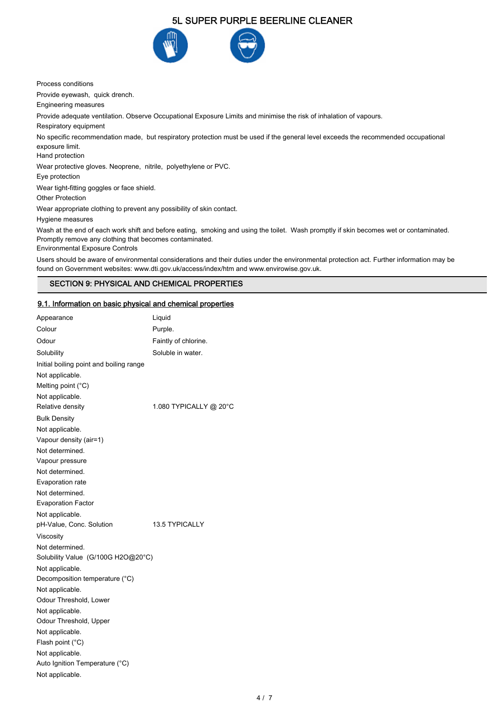

Process conditions

Provide eyewash, quick drench.

Engineering measures

Provide adequate ventilation. Observe Occupational Exposure Limits and minimise the risk of inhalation of vapours.

Respiratory equipment

No specific recommendation made, but respiratory protection must be used if the general level exceeds the recommended occupational exposure limit.

Hand protection

Wear protective gloves. Neoprene, nitrile, polyethylene or PVC.

Eye protection

Wear tight-fitting goggles or face shield.

Other Protection

Wear appropriate clothing to prevent any possibility of skin contact.

Hygiene measures

Wash at the end of each work shift and before eating, smoking and using the toilet. Wash promptly if skin becomes wet or contaminated. Promptly remove any clothing that becomes contaminated. Environmental Exposure Controls

Users should be aware of environmental considerations and their duties under the environmental protection act. Further information may be found on Government websites: www.dti.gov.uk/access/index/htm and www.envirowise.gov.uk.

### SECTION 9: PHYSICAL AND CHEMICAL PROPERTIES

#### 9.1. Information on basic physical and chemical properties

| Appearance                              | Liquid                 |
|-----------------------------------------|------------------------|
| Colour                                  | Purple.                |
| Odour                                   | Faintly of chlorine.   |
| Solubility                              | Soluble in water.      |
| Initial boiling point and boiling range |                        |
| Not applicable.                         |                        |
| Melting point $(^{\circ}C)$             |                        |
| Not applicable.                         |                        |
| Relative density                        | 1.080 TYPICALLY @ 20°C |
| <b>Bulk Density</b>                     |                        |
| Not applicable.                         |                        |
| Vapour density (air=1)                  |                        |
| Not determined.                         |                        |
| Vapour pressure                         |                        |
| Not determined.                         |                        |
| Evaporation rate                        |                        |
| Not determined.                         |                        |
| <b>Evaporation Factor</b>               |                        |
| Not applicable.                         |                        |
| pH-Value, Conc. Solution                | <b>13.5 TYPICALLY</b>  |
| Viscosity                               |                        |
| Not determined.                         |                        |
| Solubility Value (G/100G H2O@20°C)      |                        |
| Not applicable.                         |                        |
| Decomposition temperature (°C)          |                        |
| Not applicable.                         |                        |
| Odour Threshold, Lower                  |                        |
| Not applicable.                         |                        |
| Odour Threshold, Upper                  |                        |
| Not applicable.                         |                        |
| Flash point (°C)                        |                        |
| Not applicable.                         |                        |
| Auto Ignition Temperature (°C)          |                        |
| Not applicable.                         |                        |
|                                         |                        |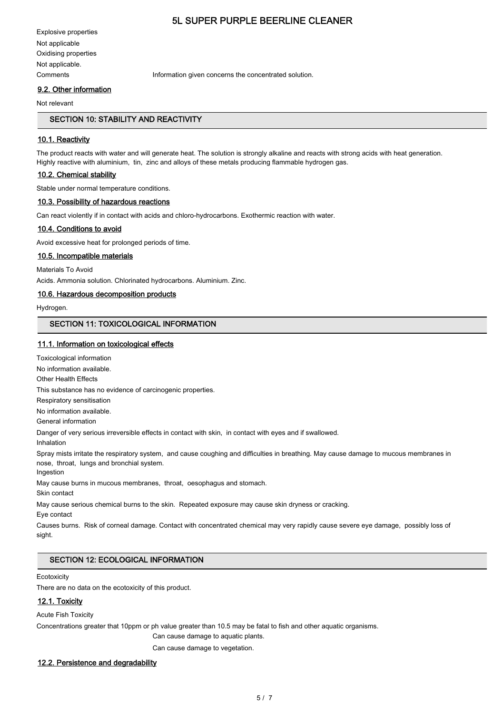Explosive properties Not applicable Oxidising properties Not applicable.

Comments Information given concerns the concentrated solution.

### 9.2. Other information

Not relevant

### SECTION 10: STABILITY AND REACTIVITY

#### 10.1. Reactivity

The product reacts with water and will generate heat. The solution is strongly alkaline and reacts with strong acids with heat generation. Highly reactive with aluminium, tin, zinc and alloys of these metals producing flammable hydrogen gas.

#### 10.2. Chemical stability

Stable under normal temperature conditions.

### 10.3. Possibility of hazardous reactions

Can react violently if in contact with acids and chloro-hydrocarbons. Exothermic reaction with water.

### 10.4. Conditions to avoid

Avoid excessive heat for prolonged periods of time.

#### 10.5. Incompatible materials

Materials To Avoid

Acids. Ammonia solution. Chlorinated hydrocarbons. Aluminium. Zinc.

#### 10.6. Hazardous decomposition products

Hydrogen.

### SECTION 11: TOXICOLOGICAL INFORMATION

#### 11.1. Information on toxicological effects

Toxicological information

No information available.

Other Health Effects

This substance has no evidence of carcinogenic properties.

Respiratory sensitisation

No information available.

General information

Danger of very serious irreversible effects in contact with skin, in contact with eyes and if swallowed.

Inhalation

Spray mists irritate the respiratory system, and cause coughing and difficulties in breathing. May cause damage to mucous membranes in nose, throat, lungs and bronchial system.

Ingestion

May cause burns in mucous membranes, throat, oesophagus and stomach.

Skin contact

May cause serious chemical burns to the skin. Repeated exposure may cause skin dryness or cracking.

Eye contact

Causes burns. Risk of corneal damage. Contact with concentrated chemical may very rapidly cause severe eye damage, possibly loss of sight.

#### SECTION 12: ECOLOGICAL INFORMATION

#### **Ecotoxicity**

There are no data on the ecotoxicity of this product.

### 12.1. Toxicity

Acute Fish Toxicity

Concentrations greater that 10ppm or ph value greater than 10.5 may be fatal to fish and other aquatic organisms.

Can cause damage to aquatic plants.

Can cause damage to vegetation.

#### 12.2. Persistence and degradability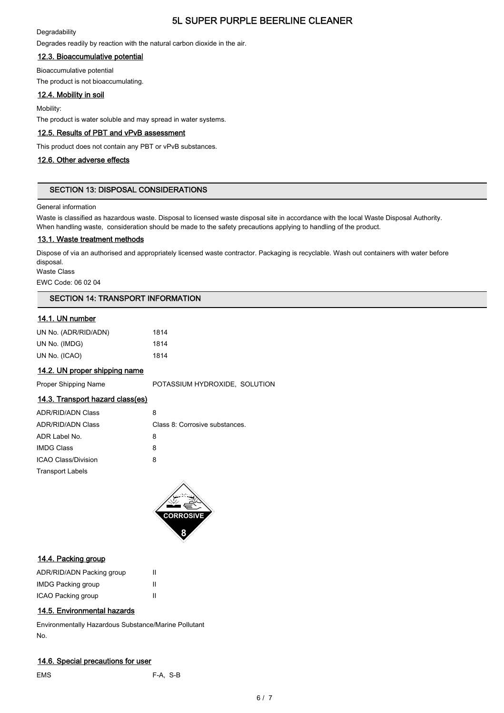### **Degradability**

Degrades readily by reaction with the natural carbon dioxide in the air.

# 12.3. Bioaccumulative potential

Bioaccumulative potential The product is not bioaccumulating.

## 12.4. Mobility in soil

Mobility:

The product is water soluble and may spread in water systems.

### 12.5. Results of PBT and vPvB assessment

This product does not contain any PBT or vPvB substances.

### 12.6. Other adverse effects

### SECTION 13: DISPOSAL CONSIDERATIONS

#### General information

Waste is classified as hazardous waste. Disposal to licensed waste disposal site in accordance with the local Waste Disposal Authority. When handling waste, consideration should be made to the safety precautions applying to handling of the product.

### 13.1. Waste treatment methods

Dispose of via an authorised and appropriately licensed waste contractor. Packaging is recyclable. Wash out containers with water before disposal.

Waste Class

EWC Code: 06 02 04

### SECTION 14: TRANSPORT INFORMATION

## 14.1. UN number

| UN No. (ADR/RID/ADN) | 1814 |
|----------------------|------|
| UN No. (IMDG)        | 1814 |
| UN No. (ICAO)        | 1814 |

### 14.2. UN proper shipping name

Proper Shipping Name **POTASSIUM HYDROXIDE, SOLUTION** 

# 14.3. Transport hazard class(es)

| <b>ADR/RID/ADN Class</b>   | 8                              |
|----------------------------|--------------------------------|
| <b>ADR/RID/ADN Class</b>   | Class 8: Corrosive substances. |
| ADR Label No.              | 8                              |
| <b>IMDG Class</b>          | 8                              |
| <b>ICAO Class/Division</b> | 8                              |
| <b>Transport Labels</b>    |                                |
|                            |                                |



### 14.4. Packing group

| ADR/RID/ADN Packing group |   |
|---------------------------|---|
| <b>IMDG Packing group</b> | Ш |
| ICAO Packing group        | Ш |

### 14.5. Environmental hazards

Environmentally Hazardous Substance/Marine Pollutant No.

### 14.6. Special precautions for user